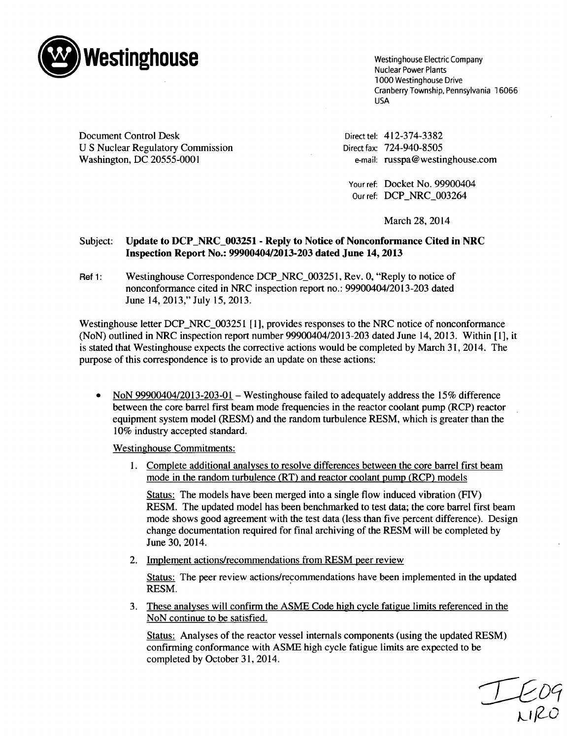

**Westinghouse Electric Company** Nuclear Power Plants<br>1000 Westinghouse Drive Cranberry Township, Pennsylvania 16066 USA

Document Control Desk Directel: 412-374-3382 U S Nuclear Regulatory Commission Direct fax: 724-940-8505 Washington, DC 20555-0001 e-mail: russpa@westinghouse.com

Your ref: Docket No. 99900404 Our ref: DCP\_NRC\_003264

March 28, 2014

## Subject: Update to DCP NRC 003251 - Reply to Notice of Nonconformance Cited in NRC Inspection Report No.: 99900404/2013-203 dated June 14, **2013**

Ref 1: Westinghouse Correspondence DCP NRC 003251, Rev. 0, "Reply to notice of nonconformance cited in NRC inspection report no.: 99900404/2013-203 dated June 14, 2013," July 15, 2013.

Westinghouse letter DCP\_NRC\_003251 [1], provides responses to the NRC notice of nonconformance (NoN) outlined in NRC inspection report number 99900404/2013-203 dated June 14, 2013. Within [1], it is stated that Westinghouse expects the corrective actions would be completed by March 31, 2014. The purpose of this correspondence is to provide an update on these actions:

NoN 99900404/2013-203-01 - Westinghouse failed to adequately address the 15% difference between the core barrel first beam mode frequencies in the reactor coolant pump (RCP) reactor equipment system model (RESM) and the random turbulence RESM, which is greater than the 10% industry accepted standard.

Westinghouse Commitments:

1. Complete additional analyses to resolve differences between the core barrel first beam mode in the random turbulence (RT) and reactor coolant pump (RCP) models

Status: The models have been merged into a single flow induced vibration (FIV) RESM. The updated model has been benchmarked to test data; the core barrel first beam mode shows good agreement with the test data (less than five percent difference). Design change documentation required for final archiving of the RESM will be completed by June 30, 2014.

2. Implement actions/recommendations from RESM peer review

Status: The peer review actions/recommendations have been implemented in the updated RESM.

3. These analyses will confirm the ASME Code high cycle fatigue limits referenced in the NoN continue to be satisfied.

Status: Analyses of the reactor vessel internals components (using the updated RESM) confirming conformance with ASME high cycle fatigue limits are expected to be completed by October 31, 2014.

 $L_{\nu}^{09}$